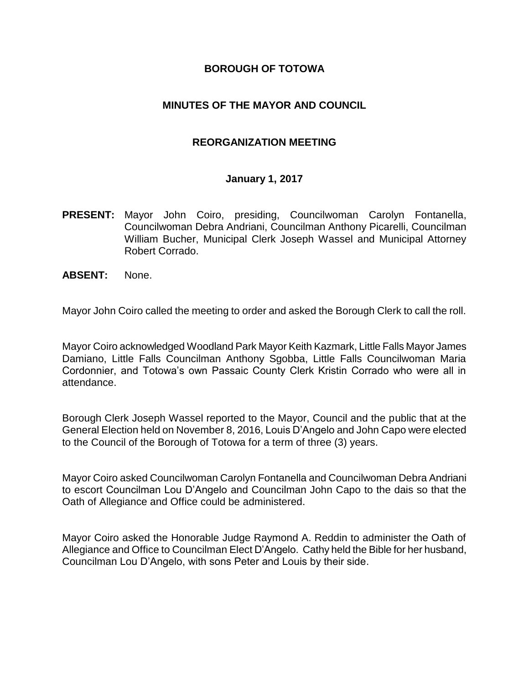#### **BOROUGH OF TOTOWA**

#### **MINUTES OF THE MAYOR AND COUNCIL**

#### **REORGANIZATION MEETING**

#### **January 1, 2017**

- **PRESENT:** Mayor John Coiro, presiding, Councilwoman Carolyn Fontanella, Councilwoman Debra Andriani, Councilman Anthony Picarelli, Councilman William Bucher, Municipal Clerk Joseph Wassel and Municipal Attorney Robert Corrado.
- **ABSENT:** None.

Mayor John Coiro called the meeting to order and asked the Borough Clerk to call the roll.

Mayor Coiro acknowledged Woodland Park Mayor Keith Kazmark, Little Falls Mayor James Damiano, Little Falls Councilman Anthony Sgobba, Little Falls Councilwoman Maria Cordonnier, and Totowa's own Passaic County Clerk Kristin Corrado who were all in attendance.

Borough Clerk Joseph Wassel reported to the Mayor, Council and the public that at the General Election held on November 8, 2016, Louis D'Angelo and John Capo were elected to the Council of the Borough of Totowa for a term of three (3) years.

Mayor Coiro asked Councilwoman Carolyn Fontanella and Councilwoman Debra Andriani to escort Councilman Lou D'Angelo and Councilman John Capo to the dais so that the Oath of Allegiance and Office could be administered.

Mayor Coiro asked the Honorable Judge Raymond A. Reddin to administer the Oath of Allegiance and Office to Councilman Elect D'Angelo. Cathy held the Bible for her husband, Councilman Lou D'Angelo, with sons Peter and Louis by their side.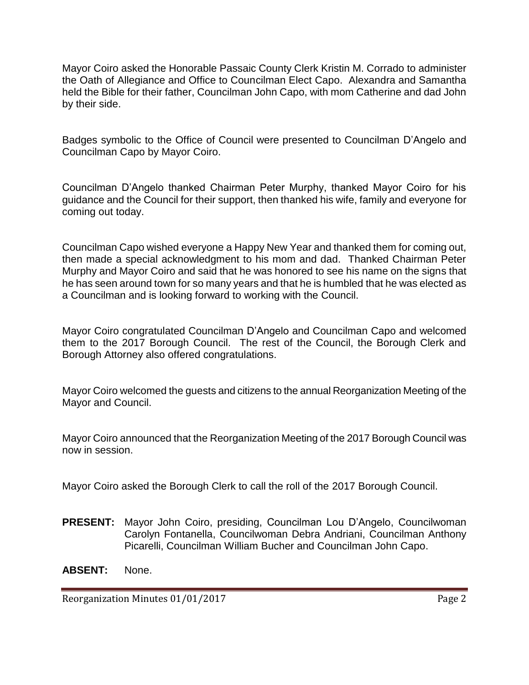Mayor Coiro asked the Honorable Passaic County Clerk Kristin M. Corrado to administer the Oath of Allegiance and Office to Councilman Elect Capo. Alexandra and Samantha held the Bible for their father, Councilman John Capo, with mom Catherine and dad John by their side.

Badges symbolic to the Office of Council were presented to Councilman D'Angelo and Councilman Capo by Mayor Coiro.

Councilman D'Angelo thanked Chairman Peter Murphy, thanked Mayor Coiro for his guidance and the Council for their support, then thanked his wife, family and everyone for coming out today.

Councilman Capo wished everyone a Happy New Year and thanked them for coming out, then made a special acknowledgment to his mom and dad. Thanked Chairman Peter Murphy and Mayor Coiro and said that he was honored to see his name on the signs that he has seen around town for so many years and that he is humbled that he was elected as a Councilman and is looking forward to working with the Council.

Mayor Coiro congratulated Councilman D'Angelo and Councilman Capo and welcomed them to the 2017 Borough Council. The rest of the Council, the Borough Clerk and Borough Attorney also offered congratulations.

Mayor Coiro welcomed the guests and citizens to the annual Reorganization Meeting of the Mayor and Council.

Mayor Coiro announced that the Reorganization Meeting of the 2017 Borough Council was now in session.

Mayor Coiro asked the Borough Clerk to call the roll of the 2017 Borough Council.

**PRESENT:** Mayor John Coiro, presiding, Councilman Lou D'Angelo, Councilwoman Carolyn Fontanella, Councilwoman Debra Andriani, Councilman Anthony Picarelli, Councilman William Bucher and Councilman John Capo.

**ABSENT:** None.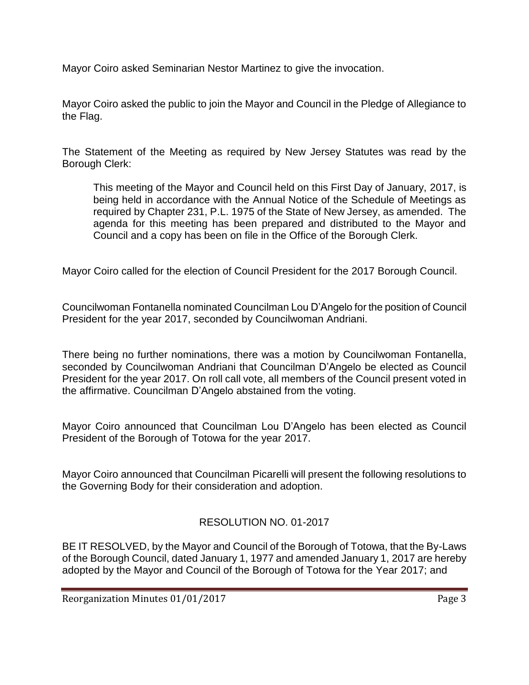Mayor Coiro asked Seminarian Nestor Martinez to give the invocation.

Mayor Coiro asked the public to join the Mayor and Council in the Pledge of Allegiance to the Flag.

The Statement of the Meeting as required by New Jersey Statutes was read by the Borough Clerk:

This meeting of the Mayor and Council held on this First Day of January, 2017, is being held in accordance with the Annual Notice of the Schedule of Meetings as required by Chapter 231, P.L. 1975 of the State of New Jersey, as amended. The agenda for this meeting has been prepared and distributed to the Mayor and Council and a copy has been on file in the Office of the Borough Clerk.

Mayor Coiro called for the election of Council President for the 2017 Borough Council.

Councilwoman Fontanella nominated Councilman Lou D'Angelo for the position of Council President for the year 2017, seconded by Councilwoman Andriani.

There being no further nominations, there was a motion by Councilwoman Fontanella, seconded by Councilwoman Andriani that Councilman D'Angelo be elected as Council President for the year 2017. On roll call vote, all members of the Council present voted in the affirmative. Councilman D'Angelo abstained from the voting.

Mayor Coiro announced that Councilman Lou D'Angelo has been elected as Council President of the Borough of Totowa for the year 2017.

Mayor Coiro announced that Councilman Picarelli will present the following resolutions to the Governing Body for their consideration and adoption.

# RESOLUTION NO. 01-2017

BE IT RESOLVED, by the Mayor and Council of the Borough of Totowa, that the By-Laws of the Borough Council, dated January 1, 1977 and amended January 1, 2017 are hereby adopted by the Mayor and Council of the Borough of Totowa for the Year 2017; and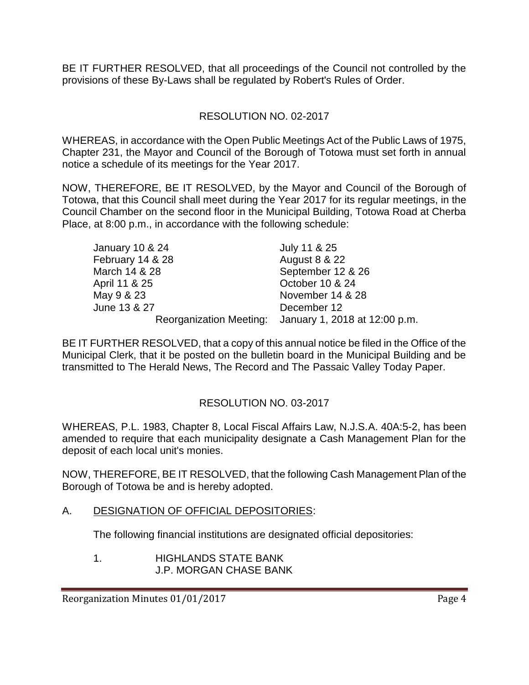BE IT FURTHER RESOLVED, that all proceedings of the Council not controlled by the provisions of these By-Laws shall be regulated by Robert's Rules of Order.

# RESOLUTION NO. 02-2017

WHEREAS, in accordance with the Open Public Meetings Act of the Public Laws of 1975, Chapter 231, the Mayor and Council of the Borough of Totowa must set forth in annual notice a schedule of its meetings for the Year 2017.

NOW, THEREFORE, BE IT RESOLVED, by the Mayor and Council of the Borough of Totowa, that this Council shall meet during the Year 2017 for its regular meetings, in the Council Chamber on the second floor in the Municipal Building, Totowa Road at Cherba Place, at 8:00 p.m., in accordance with the following schedule:

| January 10 & 24  | July 11 & 25                                          |
|------------------|-------------------------------------------------------|
| February 14 & 28 | <b>August 8 &amp; 22</b>                              |
| March 14 & 28    | September 12 & 26                                     |
| April 11 & 25    | October 10 & 24                                       |
| May 9 & 23       | November 14 & 28                                      |
| June 13 & 27     | December 12                                           |
|                  | Reorganization Meeting: January 1, 2018 at 12:00 p.m. |

BE IT FURTHER RESOLVED, that a copy of this annual notice be filed in the Office of the Municipal Clerk, that it be posted on the bulletin board in the Municipal Building and be transmitted to The Herald News, The Record and The Passaic Valley Today Paper.

# RESOLUTION NO. 03-2017

WHEREAS, P.L. 1983, Chapter 8, Local Fiscal Affairs Law, N.J.S.A. 40A:5-2, has been amended to require that each municipality designate a Cash Management Plan for the deposit of each local unit's monies.

NOW, THEREFORE, BE IT RESOLVED, that the following Cash Management Plan of the Borough of Totowa be and is hereby adopted.

### A. DESIGNATION OF OFFICIAL DEPOSITORIES:

The following financial institutions are designated official depositories:

1. HIGHLANDS STATE BANK J.P. MORGAN CHASE BANK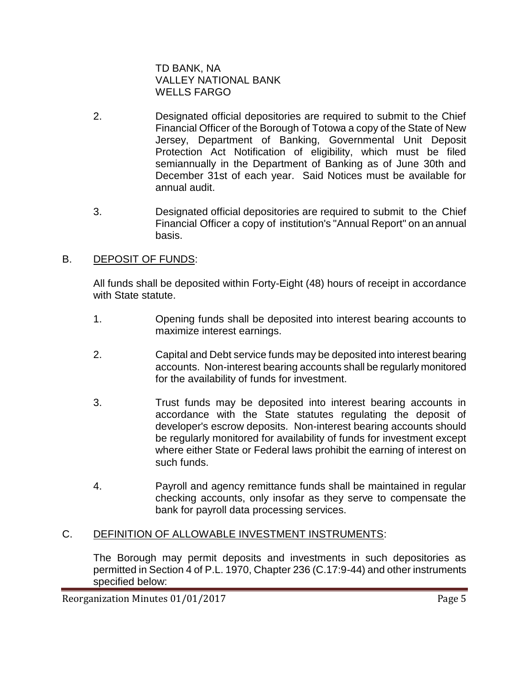TD BANK, NA VALLEY NATIONAL BANK WELLS FARGO

- 2. Designated official depositories are required to submit to the Chief Financial Officer of the Borough of Totowa a copy of the State of New Jersey, Department of Banking, Governmental Unit Deposit Protection Act Notification of eligibility, which must be filed semiannually in the Department of Banking as of June 30th and December 31st of each year. Said Notices must be available for annual audit.
- 3. Designated official depositories are required to submit to the Chief Financial Officer a copy of institution's "Annual Report" on an annual basis.

### B. DEPOSIT OF FUNDS:

All funds shall be deposited within Forty-Eight (48) hours of receipt in accordance with State statute.

- 1. Opening funds shall be deposited into interest bearing accounts to maximize interest earnings.
- 2. Capital and Debt service funds may be deposited into interest bearing accounts. Non-interest bearing accounts shall be regularly monitored for the availability of funds for investment.
- 3. Trust funds may be deposited into interest bearing accounts in accordance with the State statutes regulating the deposit of developer's escrow deposits. Non-interest bearing accounts should be regularly monitored for availability of funds for investment except where either State or Federal laws prohibit the earning of interest on such funds.
- 4. Payroll and agency remittance funds shall be maintained in regular checking accounts, only insofar as they serve to compensate the bank for payroll data processing services.

# C. DEFINITION OF ALLOWABLE INVESTMENT INSTRUMENTS:

The Borough may permit deposits and investments in such depositories as permitted in Section 4 of P.L. 1970, Chapter 236 (C.17:9-44) and other instruments specified below: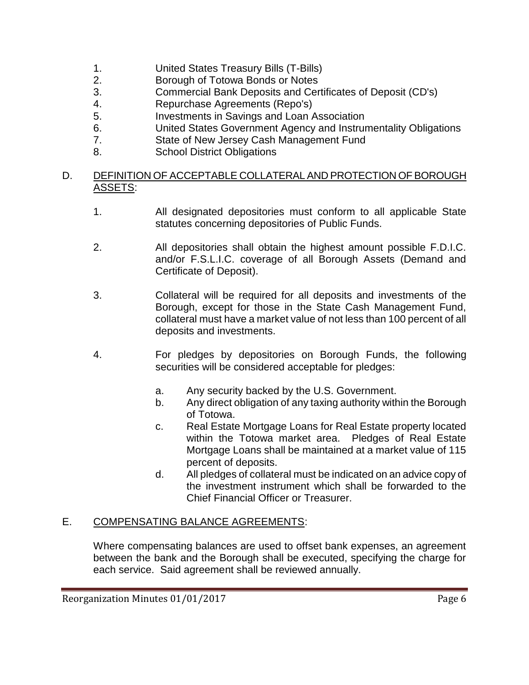- 1. United States Treasury Bills (T-Bills)
- 2. Borough of Totowa Bonds or Notes
- 3. Commercial Bank Deposits and Certificates of Deposit (CD's)
- 4. Repurchase Agreements (Repo's)
- 5. Investments in Savings and Loan Association
- 6. United States Government Agency and Instrumentality Obligations
- 7. State of New Jersey Cash Management Fund
- 8. School District Obligations

### D. DEFINITION OF ACCEPTABLE COLLATERAL AND PROTECTION OF BOROUGH ASSETS:

- 1. All designated depositories must conform to all applicable State statutes concerning depositories of Public Funds.
- 2. All depositories shall obtain the highest amount possible F.D.I.C. and/or F.S.L.I.C. coverage of all Borough Assets (Demand and Certificate of Deposit).
- 3. Collateral will be required for all deposits and investments of the Borough, except for those in the State Cash Management Fund, collateral must have a market value of not less than 100 percent of all deposits and investments.
- 4. For pledges by depositories on Borough Funds, the following securities will be considered acceptable for pledges:
	- a. Any security backed by the U.S. Government.
	- b. Any direct obligation of any taxing authority within the Borough of Totowa.
	- c. Real Estate Mortgage Loans for Real Estate property located within the Totowa market area. Pledges of Real Estate Mortgage Loans shall be maintained at a market value of 115 percent of deposits.
	- d. All pledges of collateral must be indicated on an advice copy of the investment instrument which shall be forwarded to the Chief Financial Officer or Treasurer.

#### E. COMPENSATING BALANCE AGREEMENTS:

Where compensating balances are used to offset bank expenses, an agreement between the bank and the Borough shall be executed, specifying the charge for each service. Said agreement shall be reviewed annually.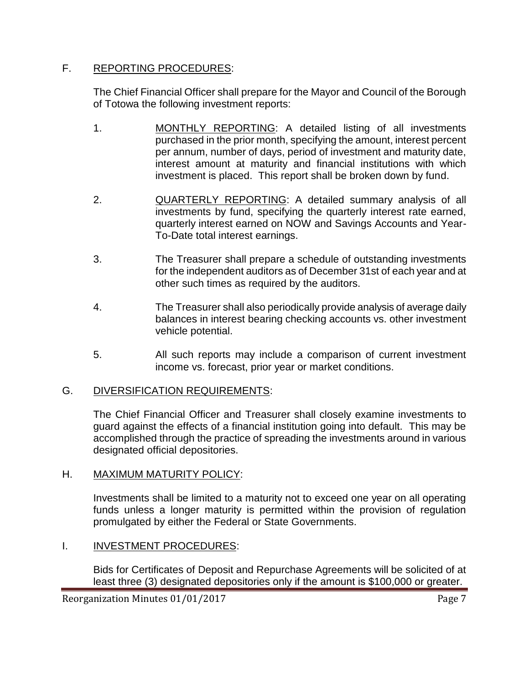### F. REPORTING PROCEDURES:

The Chief Financial Officer shall prepare for the Mayor and Council of the Borough of Totowa the following investment reports:

- 1. MONTHLY REPORTING: A detailed listing of all investments purchased in the prior month, specifying the amount, interest percent per annum, number of days, period of investment and maturity date, interest amount at maturity and financial institutions with which investment is placed. This report shall be broken down by fund.
- 2. QUARTERLY REPORTING: A detailed summary analysis of all investments by fund, specifying the quarterly interest rate earned, quarterly interest earned on NOW and Savings Accounts and Year-To-Date total interest earnings.
- 3. The Treasurer shall prepare a schedule of outstanding investments for the independent auditors as of December 31st of each year and at other such times as required by the auditors.
- 4. The Treasurer shall also periodically provide analysis of average daily balances in interest bearing checking accounts vs. other investment vehicle potential.
- 5. All such reports may include a comparison of current investment income vs. forecast, prior year or market conditions.

# G. DIVERSIFICATION REQUIREMENTS:

The Chief Financial Officer and Treasurer shall closely examine investments to guard against the effects of a financial institution going into default. This may be accomplished through the practice of spreading the investments around in various designated official depositories.

# H. MAXIMUM MATURITY POLICY:

Investments shall be limited to a maturity not to exceed one year on all operating funds unless a longer maturity is permitted within the provision of regulation promulgated by either the Federal or State Governments.

# I. **INVESTMENT PROCEDURES:**

Bids for Certificates of Deposit and Repurchase Agreements will be solicited of at least three (3) designated depositories only if the amount is \$100,000 or greater.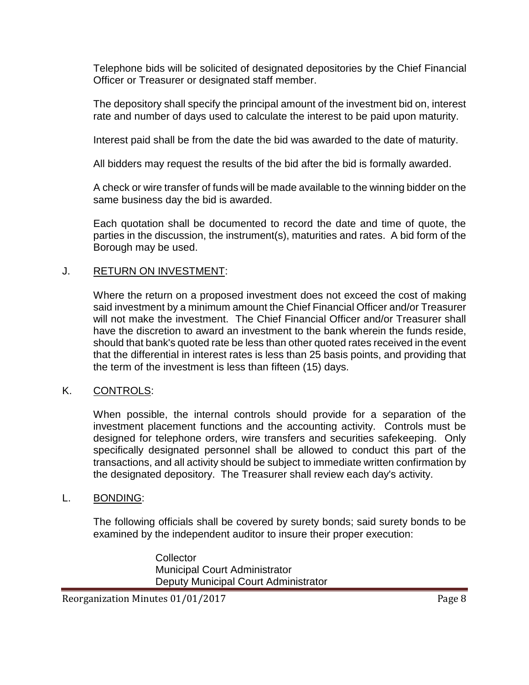Telephone bids will be solicited of designated depositories by the Chief Financial Officer or Treasurer or designated staff member.

The depository shall specify the principal amount of the investment bid on, interest rate and number of days used to calculate the interest to be paid upon maturity.

Interest paid shall be from the date the bid was awarded to the date of maturity.

All bidders may request the results of the bid after the bid is formally awarded.

A check or wire transfer of funds will be made available to the winning bidder on the same business day the bid is awarded.

Each quotation shall be documented to record the date and time of quote, the parties in the discussion, the instrument(s), maturities and rates. A bid form of the Borough may be used.

### J. RETURN ON INVESTMENT:

Where the return on a proposed investment does not exceed the cost of making said investment by a minimum amount the Chief Financial Officer and/or Treasurer will not make the investment. The Chief Financial Officer and/or Treasurer shall have the discretion to award an investment to the bank wherein the funds reside, should that bank's quoted rate be less than other quoted rates received in the event that the differential in interest rates is less than 25 basis points, and providing that the term of the investment is less than fifteen (15) days.

# K. CONTROLS:

When possible, the internal controls should provide for a separation of the investment placement functions and the accounting activity. Controls must be designed for telephone orders, wire transfers and securities safekeeping. Only specifically designated personnel shall be allowed to conduct this part of the transactions, and all activity should be subject to immediate written confirmation by the designated depository. The Treasurer shall review each day's activity.

### L. BONDING:

The following officials shall be covered by surety bonds; said surety bonds to be examined by the independent auditor to insure their proper execution:

> **Collector** Municipal Court Administrator Deputy Municipal Court Administrator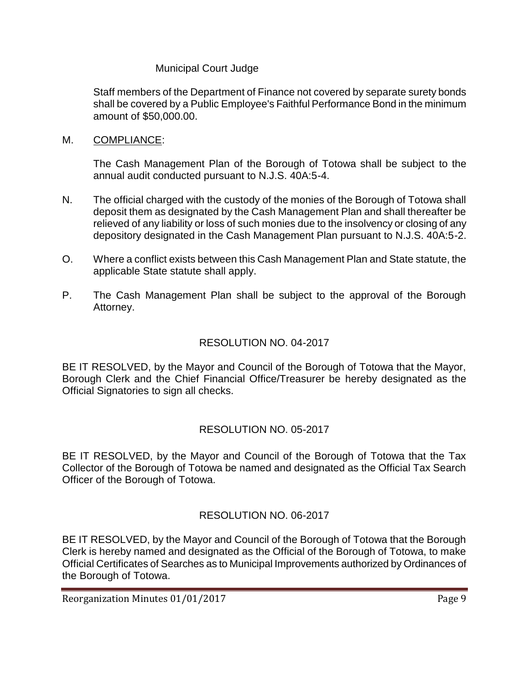### Municipal Court Judge

Staff members of the Department of Finance not covered by separate surety bonds shall be covered by a Public Employee's Faithful Performance Bond in the minimum amount of \$50,000.00.

M. COMPLIANCE:

The Cash Management Plan of the Borough of Totowa shall be subject to the annual audit conducted pursuant to N.J.S. 40A:5-4.

- N. The official charged with the custody of the monies of the Borough of Totowa shall deposit them as designated by the Cash Management Plan and shall thereafter be relieved of any liability or loss of such monies due to the insolvency or closing of any depository designated in the Cash Management Plan pursuant to N.J.S. 40A:5-2.
- O. Where a conflict exists between this Cash Management Plan and State statute, the applicable State statute shall apply.
- P. The Cash Management Plan shall be subject to the approval of the Borough Attorney.

### RESOLUTION NO. 04-2017

BE IT RESOLVED, by the Mayor and Council of the Borough of Totowa that the Mayor, Borough Clerk and the Chief Financial Office/Treasurer be hereby designated as the Official Signatories to sign all checks.

### RESOLUTION NO. 05-2017

BE IT RESOLVED, by the Mayor and Council of the Borough of Totowa that the Tax Collector of the Borough of Totowa be named and designated as the Official Tax Search Officer of the Borough of Totowa.

# RESOLUTION NO. 06-2017

BE IT RESOLVED, by the Mayor and Council of the Borough of Totowa that the Borough Clerk is hereby named and designated as the Official of the Borough of Totowa, to make Official Certificates of Searches as to Municipal Improvements authorized by Ordinances of the Borough of Totowa.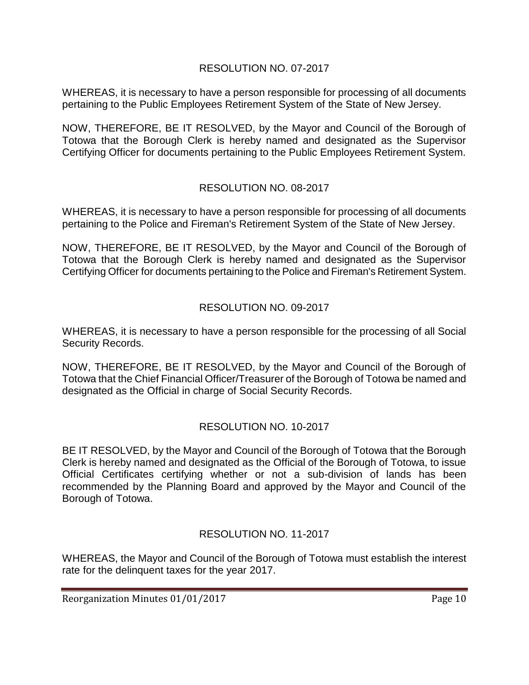### RESOLUTION NO. 07-2017

WHEREAS, it is necessary to have a person responsible for processing of all documents pertaining to the Public Employees Retirement System of the State of New Jersey.

NOW, THEREFORE, BE IT RESOLVED, by the Mayor and Council of the Borough of Totowa that the Borough Clerk is hereby named and designated as the Supervisor Certifying Officer for documents pertaining to the Public Employees Retirement System.

### RESOLUTION NO. 08-2017

WHEREAS, it is necessary to have a person responsible for processing of all documents pertaining to the Police and Fireman's Retirement System of the State of New Jersey.

NOW, THEREFORE, BE IT RESOLVED, by the Mayor and Council of the Borough of Totowa that the Borough Clerk is hereby named and designated as the Supervisor Certifying Officer for documents pertaining to the Police and Fireman's Retirement System.

# RESOLUTION NO. 09-2017

WHEREAS, it is necessary to have a person responsible for the processing of all Social Security Records.

NOW, THEREFORE, BE IT RESOLVED, by the Mayor and Council of the Borough of Totowa that the Chief Financial Officer/Treasurer of the Borough of Totowa be named and designated as the Official in charge of Social Security Records.

# RESOLUTION NO. 10-2017

BE IT RESOLVED, by the Mayor and Council of the Borough of Totowa that the Borough Clerk is hereby named and designated as the Official of the Borough of Totowa, to issue Official Certificates certifying whether or not a sub-division of lands has been recommended by the Planning Board and approved by the Mayor and Council of the Borough of Totowa.

# RESOLUTION NO. 11-2017

WHEREAS, the Mayor and Council of the Borough of Totowa must establish the interest rate for the delinquent taxes for the year 2017.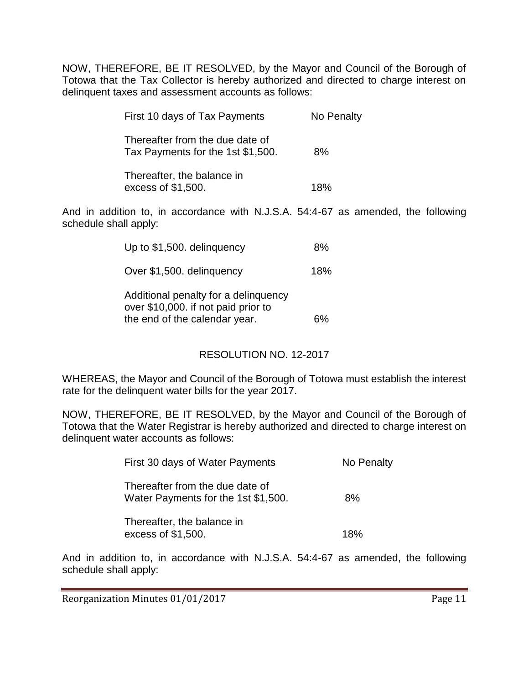NOW, THEREFORE, BE IT RESOLVED, by the Mayor and Council of the Borough of Totowa that the Tax Collector is hereby authorized and directed to charge interest on delinquent taxes and assessment accounts as follows:

| First 10 days of Tax Payments                                        | No Penalty |
|----------------------------------------------------------------------|------------|
| Thereafter from the due date of<br>Tax Payments for the 1st \$1,500. | 8%         |
| Thereafter, the balance in<br>excess of \$1,500.                     | 18%        |

And in addition to, in accordance with N.J.S.A. 54:4-67 as amended, the following schedule shall apply:

| Up to \$1,500. delinguency                                                                                   | ጸ%  |
|--------------------------------------------------------------------------------------------------------------|-----|
| Over \$1,500. delinguency                                                                                    | 18% |
| Additional penalty for a delinquency<br>over \$10,000. if not paid prior to<br>the end of the calendar year. |     |

### RESOLUTION NO. 12-2017

WHEREAS, the Mayor and Council of the Borough of Totowa must establish the interest rate for the delinquent water bills for the year 2017.

NOW, THEREFORE, BE IT RESOLVED, by the Mayor and Council of the Borough of Totowa that the Water Registrar is hereby authorized and directed to charge interest on delinquent water accounts as follows:

| First 30 days of Water Payments                                        | No Penalty |
|------------------------------------------------------------------------|------------|
| Thereafter from the due date of<br>Water Payments for the 1st \$1,500. | 8%         |
| Thereafter, the balance in<br>excess of \$1,500.                       | 18%        |

And in addition to, in accordance with N.J.S.A. 54:4-67 as amended, the following schedule shall apply: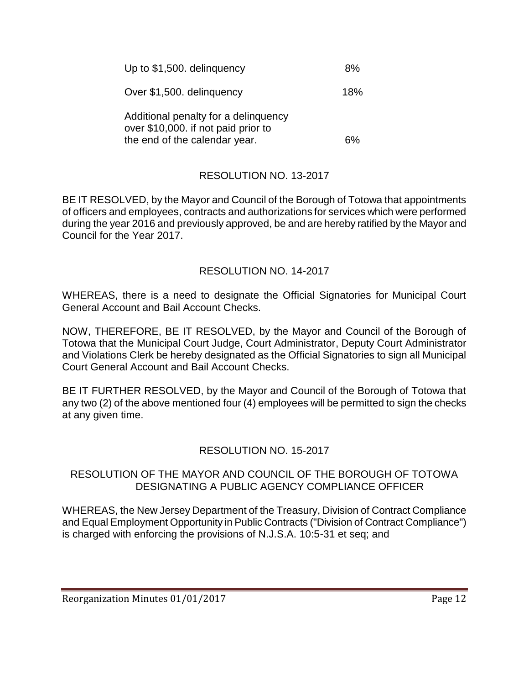| Up to \$1,500. delinguency                                                  | 8%  |
|-----------------------------------------------------------------------------|-----|
| Over \$1,500. delinguency                                                   | 18% |
| Additional penalty for a delinguency<br>over \$10,000. if not paid prior to |     |
| the end of the calendar year.                                               |     |

# RESOLUTION NO. 13-2017

BE IT RESOLVED, by the Mayor and Council of the Borough of Totowa that appointments of officers and employees, contracts and authorizations for services which were performed during the year 2016 and previously approved, be and are hereby ratified by the Mayor and Council for the Year 2017.

### RESOLUTION NO. 14-2017

WHEREAS, there is a need to designate the Official Signatories for Municipal Court General Account and Bail Account Checks.

NOW, THEREFORE, BE IT RESOLVED, by the Mayor and Council of the Borough of Totowa that the Municipal Court Judge, Court Administrator, Deputy Court Administrator and Violations Clerk be hereby designated as the Official Signatories to sign all Municipal Court General Account and Bail Account Checks.

BE IT FURTHER RESOLVED, by the Mayor and Council of the Borough of Totowa that any two (2) of the above mentioned four (4) employees will be permitted to sign the checks at any given time.

### RESOLUTION NO. 15-2017

#### RESOLUTION OF THE MAYOR AND COUNCIL OF THE BOROUGH OF TOTOWA DESIGNATING A PUBLIC AGENCY COMPLIANCE OFFICER

WHEREAS, the New Jersey Department of the Treasury, Division of Contract Compliance and Equal Employment Opportunity in Public Contracts ("Division of Contract Compliance") is charged with enforcing the provisions of N.J.S.A. 10:5-31 et seq; and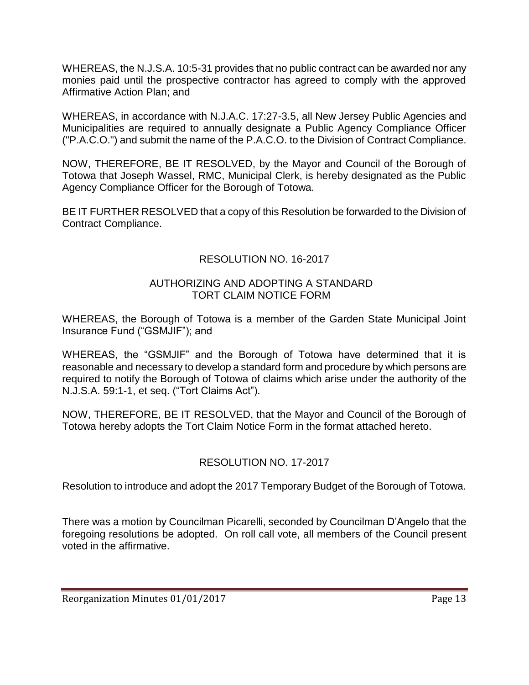WHEREAS, the N.J.S.A. 10:5-31 provides that no public contract can be awarded nor any monies paid until the prospective contractor has agreed to comply with the approved Affirmative Action Plan; and

WHEREAS, in accordance with N.J.A.C. 17:27-3.5, all New Jersey Public Agencies and Municipalities are required to annually designate a Public Agency Compliance Officer ("P.A.C.O.") and submit the name of the P.A.C.O. to the Division of Contract Compliance.

NOW, THEREFORE, BE IT RESOLVED, by the Mayor and Council of the Borough of Totowa that Joseph Wassel, RMC, Municipal Clerk, is hereby designated as the Public Agency Compliance Officer for the Borough of Totowa.

BE IT FURTHER RESOLVED that a copy of this Resolution be forwarded to the Division of Contract Compliance.

# RESOLUTION NO. 16-2017

### AUTHORIZING AND ADOPTING A STANDARD TORT CLAIM NOTICE FORM

WHEREAS, the Borough of Totowa is a member of the Garden State Municipal Joint Insurance Fund ("GSMJIF"); and

WHEREAS, the "GSMJIF" and the Borough of Totowa have determined that it is reasonable and necessary to develop a standard form and procedure by which persons are required to notify the Borough of Totowa of claims which arise under the authority of the N.J.S.A. 59:1-1, et seq. ("Tort Claims Act").

NOW, THEREFORE, BE IT RESOLVED, that the Mayor and Council of the Borough of Totowa hereby adopts the Tort Claim Notice Form in the format attached hereto.

# RESOLUTION NO. 17-2017

Resolution to introduce and adopt the 2017 Temporary Budget of the Borough of Totowa.

There was a motion by Councilman Picarelli, seconded by Councilman D'Angelo that the foregoing resolutions be adopted. On roll call vote, all members of the Council present voted in the affirmative.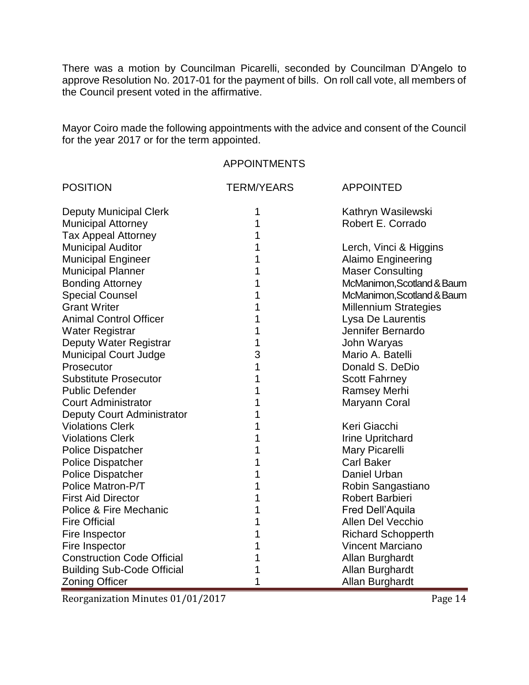There was a motion by Councilman Picarelli, seconded by Councilman D'Angelo to approve Resolution No. 2017-01 for the payment of bills. On roll call vote, all members of the Council present voted in the affirmative.

Mayor Coiro made the following appointments with the advice and consent of the Council for the year 2017 or for the term appointed.

#### APPOINTMENTS

| <b>POSITION</b>                   | <b>TERM/YEARS</b> | <b>APPOINTED</b>             |
|-----------------------------------|-------------------|------------------------------|
| <b>Deputy Municipal Clerk</b>     | 1                 | Kathryn Wasilewski           |
| <b>Municipal Attorney</b>         | 1                 | Robert E. Corrado            |
| <b>Tax Appeal Attorney</b>        | 1                 |                              |
| <b>Municipal Auditor</b>          | 1                 | Lerch, Vinci & Higgins       |
| <b>Municipal Engineer</b>         | 1                 | <b>Alaimo Engineering</b>    |
| <b>Municipal Planner</b>          | 1                 | <b>Maser Consulting</b>      |
| <b>Bonding Attorney</b>           | 1                 | McManimon, Scotland & Baum   |
| <b>Special Counsel</b>            | 1                 | McManimon, Scotland & Baum   |
| <b>Grant Writer</b>               | 1                 | <b>Millennium Strategies</b> |
| <b>Animal Control Officer</b>     | 1                 | Lysa De Laurentis            |
| Water Registrar                   | 1                 | Jennifer Bernardo            |
| Deputy Water Registrar            | 1                 | John Waryas                  |
| <b>Municipal Court Judge</b>      | 3                 | Mario A. Batelli             |
| Prosecutor                        | 1                 | Donald S. DeDio              |
| <b>Substitute Prosecutor</b>      | 1                 | <b>Scott Fahrney</b>         |
| <b>Public Defender</b>            | 1                 | <b>Ramsey Merhi</b>          |
| <b>Court Administrator</b>        | 1                 | Maryann Coral                |
| <b>Deputy Court Administrator</b> | 1                 |                              |
| <b>Violations Clerk</b>           | 1                 | Keri Giacchi                 |
| <b>Violations Clerk</b>           | 1                 | <b>Irine Upritchard</b>      |
| <b>Police Dispatcher</b>          | 1                 | Mary Picarelli               |
| <b>Police Dispatcher</b>          | 1                 | <b>Carl Baker</b>            |
| <b>Police Dispatcher</b>          | 1                 | Daniel Urban                 |
| Police Matron-P/T                 | 1                 | Robin Sangastiano            |
| <b>First Aid Director</b>         | 1                 | Robert Barbieri              |
| Police & Fire Mechanic            | 1                 | Fred Dell'Aquila             |
| <b>Fire Official</b>              | 1                 | Allen Del Vecchio            |
| Fire Inspector                    | 1                 | <b>Richard Schopperth</b>    |
| Fire Inspector                    | 1                 | <b>Vincent Marciano</b>      |
| <b>Construction Code Official</b> | 1                 | Allan Burghardt              |
| <b>Building Sub-Code Official</b> | 1                 | Allan Burghardt              |
| <b>Zoning Officer</b>             | 1                 | Allan Burghardt              |

Reorganization Minutes 01/01/2017 Page 14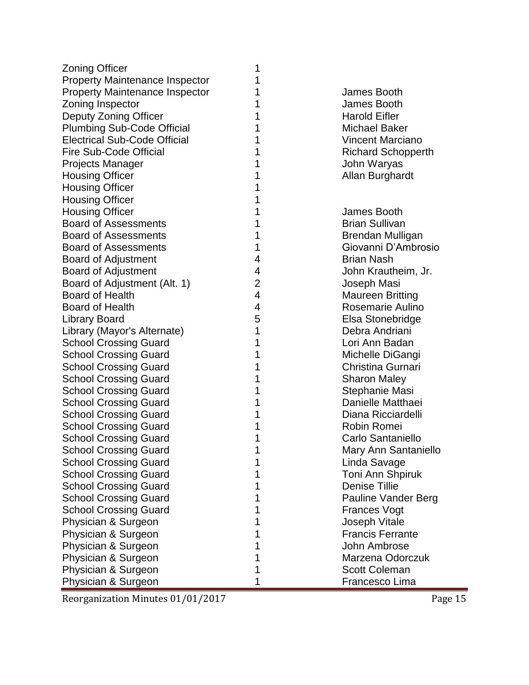| <b>Zoning Officer</b>                 | 1              |                           |
|---------------------------------------|----------------|---------------------------|
| <b>Property Maintenance Inspector</b> |                |                           |
| <b>Property Maintenance Inspector</b> |                | James Booth               |
| Zoning Inspector                      |                | James Booth               |
| Deputy Zoning Officer                 | 1              | <b>Harold Eifler</b>      |
| <b>Plumbing Sub-Code Official</b>     | 1              | <b>Michael Baker</b>      |
| <b>Electrical Sub-Code Official</b>   |                | <b>Vincent Marciano</b>   |
| Fire Sub-Code Official                | 1              | <b>Richard Schopperth</b> |
| Projects Manager                      | 1              | John Waryas               |
| <b>Housing Officer</b>                |                | Allan Burghardt           |
| <b>Housing Officer</b>                | 1              |                           |
| <b>Housing Officer</b>                |                |                           |
| <b>Housing Officer</b>                |                | James Booth               |
| <b>Board of Assessments</b>           | 1              | <b>Brian Sullivan</b>     |
| <b>Board of Assessments</b>           | 1              | Brendan Mulligan          |
| <b>Board of Assessments</b>           | 1              | Giovanni D'Ambrosio       |
| <b>Board of Adjustment</b>            | 4              | <b>Brian Nash</b>         |
| <b>Board of Adjustment</b>            | 4              | John Krautheim, Jr.       |
| Board of Adjustment (Alt. 1)          | $\overline{2}$ | Joseph Masi               |
| <b>Board of Health</b>                | 4              | <b>Maureen Britting</b>   |
| <b>Board of Health</b>                | 4              | Rosemarie Aulino          |
| <b>Library Board</b>                  | 5              | Elsa Stonebridge          |
| Library (Mayor's Alternate)           | 1              | Debra Andriani            |
| <b>School Crossing Guard</b>          | 1              | Lori Ann Badan            |
| <b>School Crossing Guard</b>          | 1              | Michelle DiGangi          |
| <b>School Crossing Guard</b>          | 1              | Christina Gurnari         |
| <b>School Crossing Guard</b>          | 1              | <b>Sharon Maley</b>       |
| <b>School Crossing Guard</b>          | 1              | Stephanie Masi            |
| <b>School Crossing Guard</b>          |                | Danielle Matthaei         |
| <b>School Crossing Guard</b>          |                | Diana Ricciardelli        |
| <b>School Crossing Guard</b>          | 1              | Robin Romei               |
| <b>School Crossing Guard</b>          |                | Carlo Santaniello         |
| <b>School Crossing Guard</b>          |                | Mary Ann Santaniello      |
| <b>School Crossing Guard</b>          |                | Linda Savage              |
| <b>School Crossing Guard</b>          |                | Toni Ann Shpiruk          |
| <b>School Crossing Guard</b>          |                | <b>Denise Tillie</b>      |
| <b>School Crossing Guard</b>          |                | Pauline Vander Berg       |
| <b>School Crossing Guard</b>          |                | <b>Frances Vogt</b>       |
| Physician & Surgeon                   |                | Joseph Vitale             |
| Physician & Surgeon                   |                | <b>Francis Ferrante</b>   |
| Physician & Surgeon                   |                | John Ambrose              |
| Physician & Surgeon                   |                | Marzena Odorczuk          |
| Physician & Surgeon                   |                | <b>Scott Coleman</b>      |
| Physician & Surgeon                   |                | Francesco Lima            |

Reorganization Minutes 01/01/2017 Page 15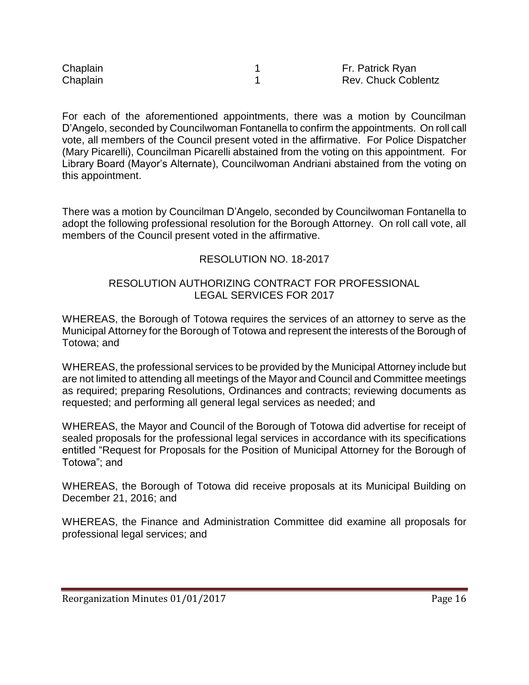| Chaplain | Fr. Patrick Ryan           |
|----------|----------------------------|
| Chaplain | <b>Rev. Chuck Coblentz</b> |

For each of the aforementioned appointments, there was a motion by Councilman D'Angelo, seconded by Councilwoman Fontanella to confirm the appointments. On roll call vote, all members of the Council present voted in the affirmative. For Police Dispatcher (Mary Picarelli), Councilman Picarelli abstained from the voting on this appointment. For Library Board (Mayor's Alternate), Councilwoman Andriani abstained from the voting on this appointment.

There was a motion by Councilman D'Angelo, seconded by Councilwoman Fontanella to adopt the following professional resolution for the Borough Attorney. On roll call vote, all members of the Council present voted in the affirmative.

### RESOLUTION NO. 18-2017

### RESOLUTION AUTHORIZING CONTRACT FOR PROFESSIONAL LEGAL SERVICES FOR 2017

WHEREAS, the Borough of Totowa requires the services of an attorney to serve as the Municipal Attorney for the Borough of Totowa and represent the interests of the Borough of Totowa; and

WHEREAS, the professional services to be provided by the Municipal Attorney include but are not limited to attending all meetings of the Mayor and Council and Committee meetings as required; preparing Resolutions, Ordinances and contracts; reviewing documents as requested; and performing all general legal services as needed; and

WHEREAS, the Mayor and Council of the Borough of Totowa did advertise for receipt of sealed proposals for the professional legal services in accordance with its specifications entitled "Request for Proposals for the Position of Municipal Attorney for the Borough of Totowa"; and

WHEREAS, the Borough of Totowa did receive proposals at its Municipal Building on December 21, 2016; and

WHEREAS, the Finance and Administration Committee did examine all proposals for professional legal services; and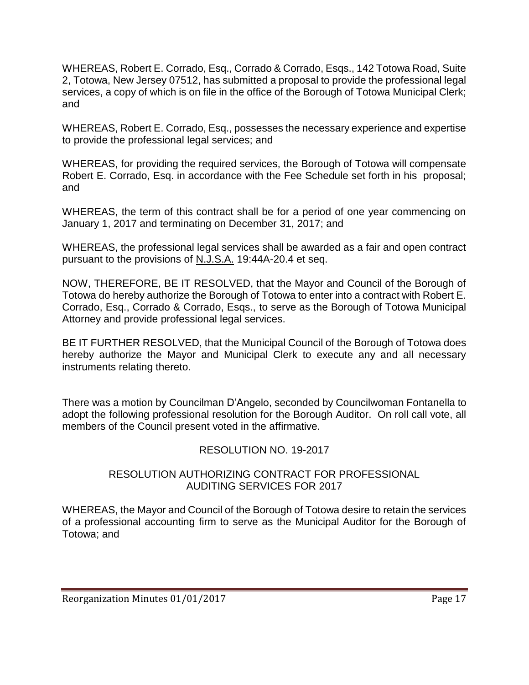WHEREAS, Robert E. Corrado, Esq., Corrado & Corrado, Esqs., 142 Totowa Road, Suite 2, Totowa, New Jersey 07512, has submitted a proposal to provide the professional legal services, a copy of which is on file in the office of the Borough of Totowa Municipal Clerk; and

WHEREAS, Robert E. Corrado, Esq., possesses the necessary experience and expertise to provide the professional legal services; and

WHEREAS, for providing the required services, the Borough of Totowa will compensate Robert E. Corrado, Esq. in accordance with the Fee Schedule set forth in his proposal; and

WHEREAS, the term of this contract shall be for a period of one year commencing on January 1, 2017 and terminating on December 31, 2017; and

WHEREAS, the professional legal services shall be awarded as a fair and open contract pursuant to the provisions of N.J.S.A. 19:44A-20.4 et seq.

NOW, THEREFORE, BE IT RESOLVED, that the Mayor and Council of the Borough of Totowa do hereby authorize the Borough of Totowa to enter into a contract with Robert E. Corrado, Esq., Corrado & Corrado, Esqs., to serve as the Borough of Totowa Municipal Attorney and provide professional legal services.

BE IT FURTHER RESOLVED, that the Municipal Council of the Borough of Totowa does hereby authorize the Mayor and Municipal Clerk to execute any and all necessary instruments relating thereto.

There was a motion by Councilman D'Angelo, seconded by Councilwoman Fontanella to adopt the following professional resolution for the Borough Auditor. On roll call vote, all members of the Council present voted in the affirmative.

# RESOLUTION NO. 19-2017

#### RESOLUTION AUTHORIZING CONTRACT FOR PROFESSIONAL AUDITING SERVICES FOR 2017

WHEREAS, the Mayor and Council of the Borough of Totowa desire to retain the services of a professional accounting firm to serve as the Municipal Auditor for the Borough of Totowa; and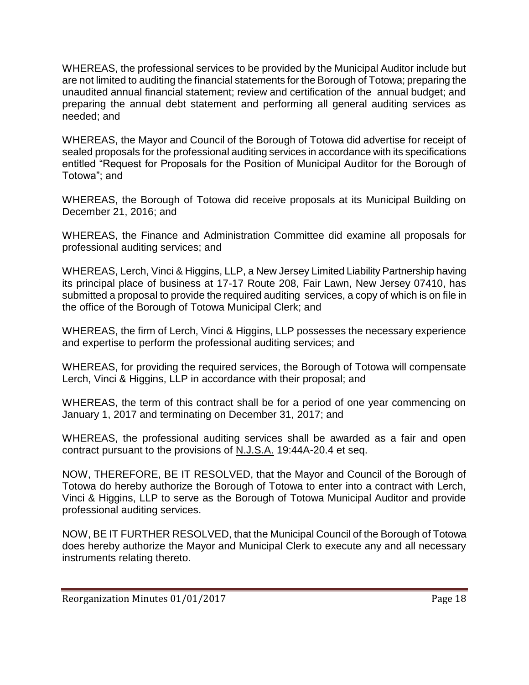WHEREAS, the professional services to be provided by the Municipal Auditor include but are not limited to auditing the financial statements for the Borough of Totowa; preparing the unaudited annual financial statement; review and certification of the annual budget; and preparing the annual debt statement and performing all general auditing services as needed; and

WHEREAS, the Mayor and Council of the Borough of Totowa did advertise for receipt of sealed proposals for the professional auditing services in accordance with its specifications entitled "Request for Proposals for the Position of Municipal Auditor for the Borough of Totowa"; and

WHEREAS, the Borough of Totowa did receive proposals at its Municipal Building on December 21, 2016; and

WHEREAS, the Finance and Administration Committee did examine all proposals for professional auditing services; and

WHEREAS, Lerch, Vinci & Higgins, LLP, a New Jersey Limited Liability Partnership having its principal place of business at 17-17 Route 208, Fair Lawn, New Jersey 07410, has submitted a proposal to provide the required auditing services, a copy of which is on file in the office of the Borough of Totowa Municipal Clerk; and

WHEREAS, the firm of Lerch, Vinci & Higgins, LLP possesses the necessary experience and expertise to perform the professional auditing services; and

WHEREAS, for providing the required services, the Borough of Totowa will compensate Lerch, Vinci & Higgins, LLP in accordance with their proposal; and

WHEREAS, the term of this contract shall be for a period of one year commencing on January 1, 2017 and terminating on December 31, 2017; and

WHEREAS, the professional auditing services shall be awarded as a fair and open contract pursuant to the provisions of N.J.S.A. 19:44A-20.4 et seq.

NOW, THEREFORE, BE IT RESOLVED, that the Mayor and Council of the Borough of Totowa do hereby authorize the Borough of Totowa to enter into a contract with Lerch, Vinci & Higgins, LLP to serve as the Borough of Totowa Municipal Auditor and provide professional auditing services.

NOW, BE IT FURTHER RESOLVED, that the Municipal Council of the Borough of Totowa does hereby authorize the Mayor and Municipal Clerk to execute any and all necessary instruments relating thereto.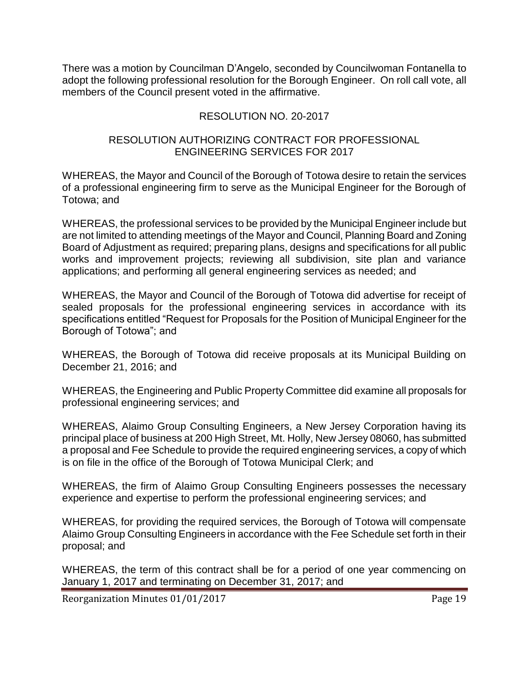There was a motion by Councilman D'Angelo, seconded by Councilwoman Fontanella to adopt the following professional resolution for the Borough Engineer. On roll call vote, all members of the Council present voted in the affirmative.

### RESOLUTION NO. 20-2017

#### RESOLUTION AUTHORIZING CONTRACT FOR PROFESSIONAL ENGINEERING SERVICES FOR 2017

WHEREAS, the Mayor and Council of the Borough of Totowa desire to retain the services of a professional engineering firm to serve as the Municipal Engineer for the Borough of Totowa; and

WHEREAS, the professional services to be provided by the Municipal Engineer include but are not limited to attending meetings of the Mayor and Council, Planning Board and Zoning Board of Adjustment as required; preparing plans, designs and specifications for all public works and improvement projects; reviewing all subdivision, site plan and variance applications; and performing all general engineering services as needed; and

WHEREAS, the Mayor and Council of the Borough of Totowa did advertise for receipt of sealed proposals for the professional engineering services in accordance with its specifications entitled "Request for Proposals for the Position of Municipal Engineer for the Borough of Totowa"; and

WHEREAS, the Borough of Totowa did receive proposals at its Municipal Building on December 21, 2016; and

WHEREAS, the Engineering and Public Property Committee did examine all proposals for professional engineering services; and

WHEREAS, Alaimo Group Consulting Engineers, a New Jersey Corporation having its principal place of business at 200 High Street, Mt. Holly, New Jersey 08060, has submitted a proposal and Fee Schedule to provide the required engineering services, a copy of which is on file in the office of the Borough of Totowa Municipal Clerk; and

WHEREAS, the firm of Alaimo Group Consulting Engineers possesses the necessary experience and expertise to perform the professional engineering services; and

WHEREAS, for providing the required services, the Borough of Totowa will compensate Alaimo Group Consulting Engineers in accordance with the Fee Schedule set forth in their proposal; and

WHEREAS, the term of this contract shall be for a period of one year commencing on January 1, 2017 and terminating on December 31, 2017; and

Reorganization Minutes 01/01/2017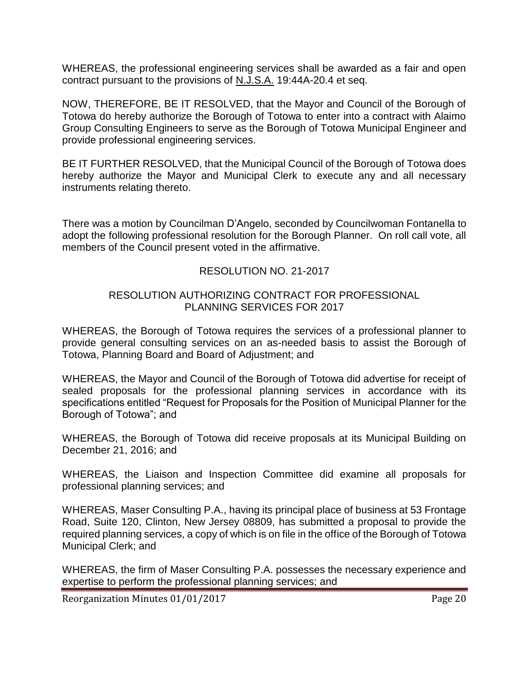WHEREAS, the professional engineering services shall be awarded as a fair and open contract pursuant to the provisions of N.J.S.A. 19:44A-20.4 et seq.

NOW, THEREFORE, BE IT RESOLVED, that the Mayor and Council of the Borough of Totowa do hereby authorize the Borough of Totowa to enter into a contract with Alaimo Group Consulting Engineers to serve as the Borough of Totowa Municipal Engineer and provide professional engineering services.

BE IT FURTHER RESOLVED, that the Municipal Council of the Borough of Totowa does hereby authorize the Mayor and Municipal Clerk to execute any and all necessary instruments relating thereto.

There was a motion by Councilman D'Angelo, seconded by Councilwoman Fontanella to adopt the following professional resolution for the Borough Planner. On roll call vote, all members of the Council present voted in the affirmative.

#### RESOLUTION NO. 21-2017

#### RESOLUTION AUTHORIZING CONTRACT FOR PROFESSIONAL PLANNING SERVICES FOR 2017

WHEREAS, the Borough of Totowa requires the services of a professional planner to provide general consulting services on an as-needed basis to assist the Borough of Totowa, Planning Board and Board of Adjustment; and

WHEREAS, the Mayor and Council of the Borough of Totowa did advertise for receipt of sealed proposals for the professional planning services in accordance with its specifications entitled "Request for Proposals for the Position of Municipal Planner for the Borough of Totowa"; and

WHEREAS, the Borough of Totowa did receive proposals at its Municipal Building on December 21, 2016; and

WHEREAS, the Liaison and Inspection Committee did examine all proposals for professional planning services; and

WHEREAS, Maser Consulting P.A., having its principal place of business at 53 Frontage Road, Suite 120, Clinton, New Jersey 08809, has submitted a proposal to provide the required planning services, a copy of which is on file in the office of the Borough of Totowa Municipal Clerk; and

WHEREAS, the firm of Maser Consulting P.A. possesses the necessary experience and expertise to perform the professional planning services; and

Reorganization Minutes 01/01/2017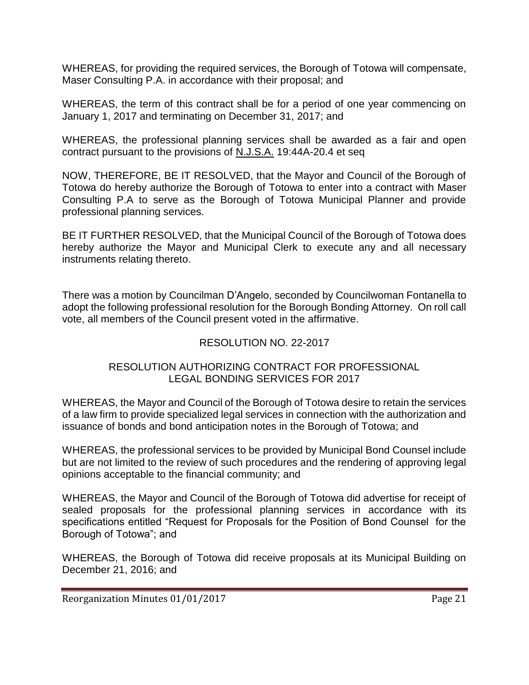WHEREAS, for providing the required services, the Borough of Totowa will compensate, Maser Consulting P.A. in accordance with their proposal; and

WHEREAS, the term of this contract shall be for a period of one year commencing on January 1, 2017 and terminating on December 31, 2017; and

WHEREAS, the professional planning services shall be awarded as a fair and open contract pursuant to the provisions of N.J.S.A. 19:44A-20.4 et seq

NOW, THEREFORE, BE IT RESOLVED, that the Mayor and Council of the Borough of Totowa do hereby authorize the Borough of Totowa to enter into a contract with Maser Consulting P.A to serve as the Borough of Totowa Municipal Planner and provide professional planning services.

BE IT FURTHER RESOLVED, that the Municipal Council of the Borough of Totowa does hereby authorize the Mayor and Municipal Clerk to execute any and all necessary instruments relating thereto.

There was a motion by Councilman D'Angelo, seconded by Councilwoman Fontanella to adopt the following professional resolution for the Borough Bonding Attorney. On roll call vote, all members of the Council present voted in the affirmative.

### RESOLUTION NO. 22-2017

#### RESOLUTION AUTHORIZING CONTRACT FOR PROFESSIONAL LEGAL BONDING SERVICES FOR 2017

WHEREAS, the Mayor and Council of the Borough of Totowa desire to retain the services of a law firm to provide specialized legal services in connection with the authorization and issuance of bonds and bond anticipation notes in the Borough of Totowa; and

WHEREAS, the professional services to be provided by Municipal Bond Counsel include but are not limited to the review of such procedures and the rendering of approving legal opinions acceptable to the financial community; and

WHEREAS, the Mayor and Council of the Borough of Totowa did advertise for receipt of sealed proposals for the professional planning services in accordance with its specifications entitled "Request for Proposals for the Position of Bond Counsel for the Borough of Totowa"; and

WHEREAS, the Borough of Totowa did receive proposals at its Municipal Building on December 21, 2016; and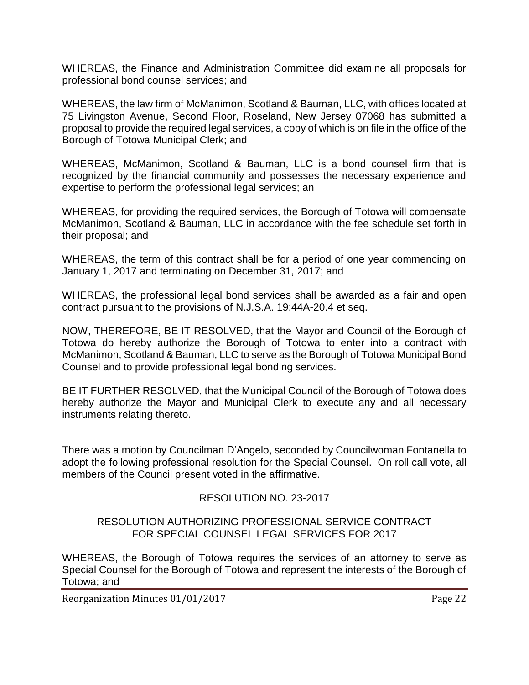WHEREAS, the Finance and Administration Committee did examine all proposals for professional bond counsel services; and

WHEREAS, the law firm of McManimon, Scotland & Bauman, LLC, with offices located at 75 Livingston Avenue, Second Floor, Roseland, New Jersey 07068 has submitted a proposal to provide the required legal services, a copy of which is on file in the office of the Borough of Totowa Municipal Clerk; and

WHEREAS, McManimon, Scotland & Bauman, LLC is a bond counsel firm that is recognized by the financial community and possesses the necessary experience and expertise to perform the professional legal services; an

WHEREAS, for providing the required services, the Borough of Totowa will compensate McManimon, Scotland & Bauman, LLC in accordance with the fee schedule set forth in their proposal; and

WHEREAS, the term of this contract shall be for a period of one year commencing on January 1, 2017 and terminating on December 31, 2017; and

WHEREAS, the professional legal bond services shall be awarded as a fair and open contract pursuant to the provisions of N.J.S.A. 19:44A-20.4 et seq.

NOW, THEREFORE, BE IT RESOLVED, that the Mayor and Council of the Borough of Totowa do hereby authorize the Borough of Totowa to enter into a contract with McManimon, Scotland & Bauman, LLC to serve as the Borough of Totowa Municipal Bond Counsel and to provide professional legal bonding services.

BE IT FURTHER RESOLVED, that the Municipal Council of the Borough of Totowa does hereby authorize the Mayor and Municipal Clerk to execute any and all necessary instruments relating thereto.

There was a motion by Councilman D'Angelo, seconded by Councilwoman Fontanella to adopt the following professional resolution for the Special Counsel. On roll call vote, all members of the Council present voted in the affirmative.

### RESOLUTION NO. 23-2017

### RESOLUTION AUTHORIZING PROFESSIONAL SERVICE CONTRACT FOR SPECIAL COUNSEL LEGAL SERVICES FOR 2017

WHEREAS, the Borough of Totowa requires the services of an attorney to serve as Special Counsel for the Borough of Totowa and represent the interests of the Borough of Totowa; and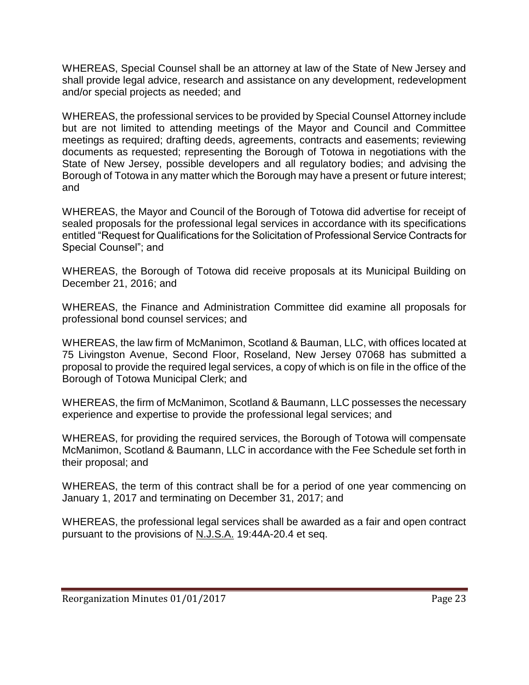WHEREAS, Special Counsel shall be an attorney at law of the State of New Jersey and shall provide legal advice, research and assistance on any development, redevelopment and/or special projects as needed; and

WHEREAS, the professional services to be provided by Special Counsel Attorney include but are not limited to attending meetings of the Mayor and Council and Committee meetings as required; drafting deeds, agreements, contracts and easements; reviewing documents as requested; representing the Borough of Totowa in negotiations with the State of New Jersey, possible developers and all regulatory bodies; and advising the Borough of Totowa in any matter which the Borough may have a present or future interest; and

WHEREAS, the Mayor and Council of the Borough of Totowa did advertise for receipt of sealed proposals for the professional legal services in accordance with its specifications entitled "Request for Qualifications for the Solicitation of Professional Service Contracts for Special Counsel"; and

WHEREAS, the Borough of Totowa did receive proposals at its Municipal Building on December 21, 2016; and

WHEREAS, the Finance and Administration Committee did examine all proposals for professional bond counsel services; and

WHEREAS, the law firm of McManimon, Scotland & Bauman, LLC, with offices located at 75 Livingston Avenue, Second Floor, Roseland, New Jersey 07068 has submitted a proposal to provide the required legal services, a copy of which is on file in the office of the Borough of Totowa Municipal Clerk; and

WHEREAS, the firm of McManimon, Scotland & Baumann, LLC possesses the necessary experience and expertise to provide the professional legal services; and

WHEREAS, for providing the required services, the Borough of Totowa will compensate McManimon, Scotland & Baumann, LLC in accordance with the Fee Schedule set forth in their proposal; and

WHEREAS, the term of this contract shall be for a period of one year commencing on January 1, 2017 and terminating on December 31, 2017; and

WHEREAS, the professional legal services shall be awarded as a fair and open contract pursuant to the provisions of N.J.S.A. 19:44A-20.4 et seq.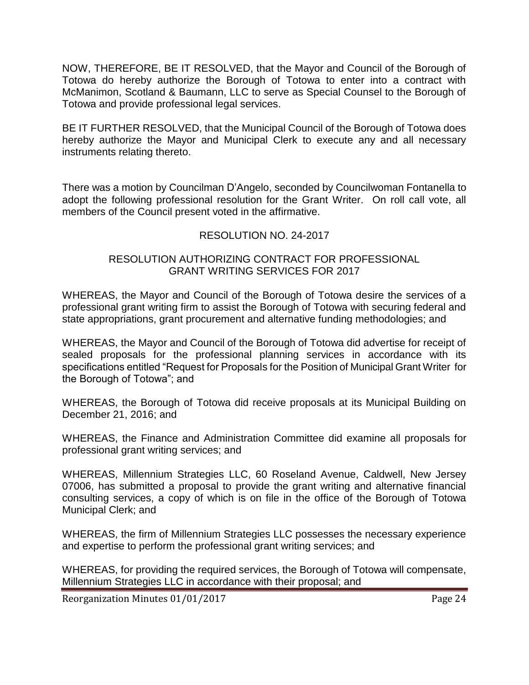NOW, THEREFORE, BE IT RESOLVED, that the Mayor and Council of the Borough of Totowa do hereby authorize the Borough of Totowa to enter into a contract with McManimon, Scotland & Baumann, LLC to serve as Special Counsel to the Borough of Totowa and provide professional legal services.

BE IT FURTHER RESOLVED, that the Municipal Council of the Borough of Totowa does hereby authorize the Mayor and Municipal Clerk to execute any and all necessary instruments relating thereto.

There was a motion by Councilman D'Angelo, seconded by Councilwoman Fontanella to adopt the following professional resolution for the Grant Writer. On roll call vote, all members of the Council present voted in the affirmative.

### RESOLUTION NO. 24-2017

### RESOLUTION AUTHORIZING CONTRACT FOR PROFESSIONAL GRANT WRITING SERVICES FOR 2017

WHEREAS, the Mayor and Council of the Borough of Totowa desire the services of a professional grant writing firm to assist the Borough of Totowa with securing federal and state appropriations, grant procurement and alternative funding methodologies; and

WHEREAS, the Mayor and Council of the Borough of Totowa did advertise for receipt of sealed proposals for the professional planning services in accordance with its specifications entitled "Request for Proposals for the Position of Municipal Grant Writer for the Borough of Totowa"; and

WHEREAS, the Borough of Totowa did receive proposals at its Municipal Building on December 21, 2016; and

WHEREAS, the Finance and Administration Committee did examine all proposals for professional grant writing services; and

WHEREAS, Millennium Strategies LLC, 60 Roseland Avenue, Caldwell, New Jersey 07006, has submitted a proposal to provide the grant writing and alternative financial consulting services, a copy of which is on file in the office of the Borough of Totowa Municipal Clerk; and

WHEREAS, the firm of Millennium Strategies LLC possesses the necessary experience and expertise to perform the professional grant writing services; and

WHEREAS, for providing the required services, the Borough of Totowa will compensate, Millennium Strategies LLC in accordance with their proposal; and

Reorganization Minutes 01/01/2017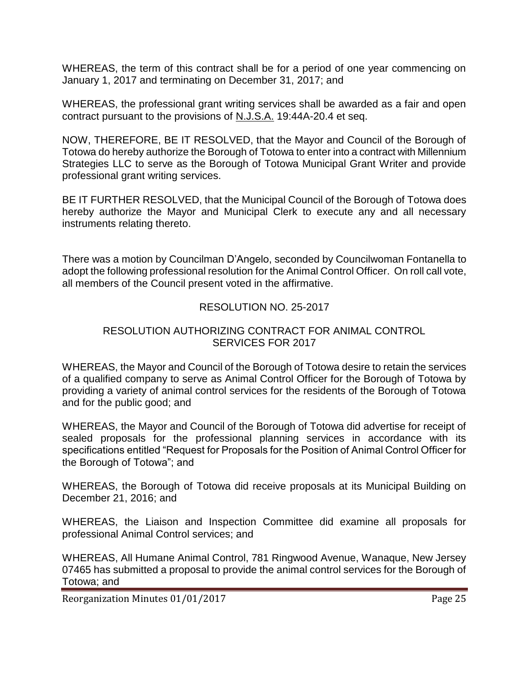WHEREAS, the term of this contract shall be for a period of one year commencing on January 1, 2017 and terminating on December 31, 2017; and

WHEREAS, the professional grant writing services shall be awarded as a fair and open contract pursuant to the provisions of N.J.S.A. 19:44A-20.4 et seq.

NOW, THEREFORE, BE IT RESOLVED, that the Mayor and Council of the Borough of Totowa do hereby authorize the Borough of Totowa to enter into a contract with Millennium Strategies LLC to serve as the Borough of Totowa Municipal Grant Writer and provide professional grant writing services.

BE IT FURTHER RESOLVED, that the Municipal Council of the Borough of Totowa does hereby authorize the Mayor and Municipal Clerk to execute any and all necessary instruments relating thereto.

There was a motion by Councilman D'Angelo, seconded by Councilwoman Fontanella to adopt the following professional resolution for the Animal Control Officer. On roll call vote, all members of the Council present voted in the affirmative.

### RESOLUTION NO. 25-2017

### RESOLUTION AUTHORIZING CONTRACT FOR ANIMAL CONTROL SERVICES FOR 2017

WHEREAS, the Mayor and Council of the Borough of Totowa desire to retain the services of a qualified company to serve as Animal Control Officer for the Borough of Totowa by providing a variety of animal control services for the residents of the Borough of Totowa and for the public good; and

WHEREAS, the Mayor and Council of the Borough of Totowa did advertise for receipt of sealed proposals for the professional planning services in accordance with its specifications entitled "Request for Proposals for the Position of Animal Control Officer for the Borough of Totowa"; and

WHEREAS, the Borough of Totowa did receive proposals at its Municipal Building on December 21, 2016; and

WHEREAS, the Liaison and Inspection Committee did examine all proposals for professional Animal Control services; and

WHEREAS, All Humane Animal Control, 781 Ringwood Avenue, Wanaque, New Jersey 07465 has submitted a proposal to provide the animal control services for the Borough of Totowa; and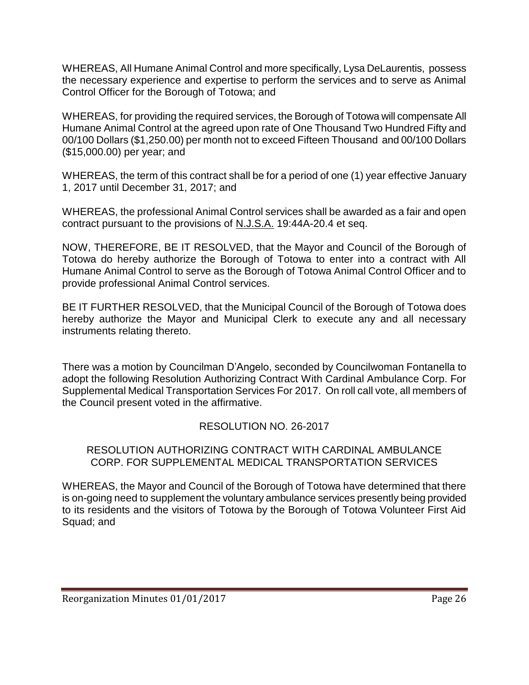WHEREAS, All Humane Animal Control and more specifically, Lysa DeLaurentis, possess the necessary experience and expertise to perform the services and to serve as Animal Control Officer for the Borough of Totowa; and

WHEREAS, for providing the required services, the Borough of Totowa will compensate All Humane Animal Control at the agreed upon rate of One Thousand Two Hundred Fifty and 00/100 Dollars (\$1,250.00) per month not to exceed Fifteen Thousand and 00/100 Dollars (\$15,000.00) per year; and

WHEREAS, the term of this contract shall be for a period of one (1) year effective January 1, 2017 until December 31, 2017; and

WHEREAS, the professional Animal Control services shall be awarded as a fair and open contract pursuant to the provisions of N.J.S.A. 19:44A-20.4 et seq.

NOW, THEREFORE, BE IT RESOLVED, that the Mayor and Council of the Borough of Totowa do hereby authorize the Borough of Totowa to enter into a contract with All Humane Animal Control to serve as the Borough of Totowa Animal Control Officer and to provide professional Animal Control services.

BE IT FURTHER RESOLVED, that the Municipal Council of the Borough of Totowa does hereby authorize the Mayor and Municipal Clerk to execute any and all necessary instruments relating thereto.

There was a motion by Councilman D'Angelo, seconded by Councilwoman Fontanella to adopt the following Resolution Authorizing Contract With Cardinal Ambulance Corp. For Supplemental Medical Transportation Services For 2017. On roll call vote, all members of the Council present voted in the affirmative.

# RESOLUTION NO. 26-2017

#### RESOLUTION AUTHORIZING CONTRACT WITH CARDINAL AMBULANCE CORP. FOR SUPPLEMENTAL MEDICAL TRANSPORTATION SERVICES

WHEREAS, the Mayor and Council of the Borough of Totowa have determined that there is on-going need to supplement the voluntary ambulance services presently being provided to its residents and the visitors of Totowa by the Borough of Totowa Volunteer First Aid Squad; and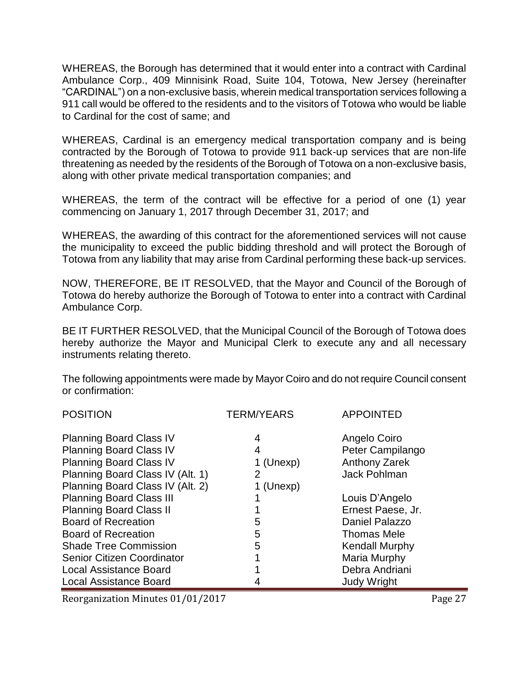WHEREAS, the Borough has determined that it would enter into a contract with Cardinal Ambulance Corp., 409 Minnisink Road, Suite 104, Totowa, New Jersey (hereinafter "CARDINAL") on a non-exclusive basis, wherein medical transportation services following a 911 call would be offered to the residents and to the visitors of Totowa who would be liable to Cardinal for the cost of same; and

WHEREAS, Cardinal is an emergency medical transportation company and is being contracted by the Borough of Totowa to provide 911 back-up services that are non-life threatening as needed by the residents of the Borough of Totowa on a non-exclusive basis, along with other private medical transportation companies; and

WHEREAS, the term of the contract will be effective for a period of one (1) year commencing on January 1, 2017 through December 31, 2017; and

WHEREAS, the awarding of this contract for the aforementioned services will not cause the municipality to exceed the public bidding threshold and will protect the Borough of Totowa from any liability that may arise from Cardinal performing these back-up services.

NOW, THEREFORE, BE IT RESOLVED, that the Mayor and Council of the Borough of Totowa do hereby authorize the Borough of Totowa to enter into a contract with Cardinal Ambulance Corp.

BE IT FURTHER RESOLVED, that the Municipal Council of the Borough of Totowa does hereby authorize the Mayor and Municipal Clerk to execute any and all necessary instruments relating thereto.

The following appointments were made by Mayor Coiro and do not require Council consent or confirmation:

| <b>POSITION</b>                                                                                    | <b>TERM/YEARS</b>   | <b>APPOINTED</b>                                  |
|----------------------------------------------------------------------------------------------------|---------------------|---------------------------------------------------|
| <b>Planning Board Class IV</b><br><b>Planning Board Class IV</b><br><b>Planning Board Class IV</b> | 4<br>4<br>1 (Unexp) | Angelo Coiro<br>Peter Campilango<br>Anthony Zarek |
| Planning Board Class IV (Alt. 1)                                                                   | 2                   | <b>Jack Pohlman</b>                               |
| Planning Board Class IV (Alt. 2)                                                                   | 1 (Unexp)           |                                                   |
| <b>Planning Board Class III</b>                                                                    |                     | Louis D'Angelo                                    |
| <b>Planning Board Class II</b>                                                                     |                     | Ernest Paese, Jr.                                 |
| <b>Board of Recreation</b>                                                                         | 5                   | Daniel Palazzo                                    |
| <b>Board of Recreation</b>                                                                         | 5                   | <b>Thomas Mele</b>                                |
| <b>Shade Tree Commission</b>                                                                       | 5                   | <b>Kendall Murphy</b>                             |
| <b>Senior Citizen Coordinator</b>                                                                  |                     | Maria Murphy                                      |
| <b>Local Assistance Board</b>                                                                      |                     | Debra Andriani                                    |
| <b>Local Assistance Board</b>                                                                      |                     | <b>Judy Wright</b>                                |

Reorganization Minutes 01/01/2017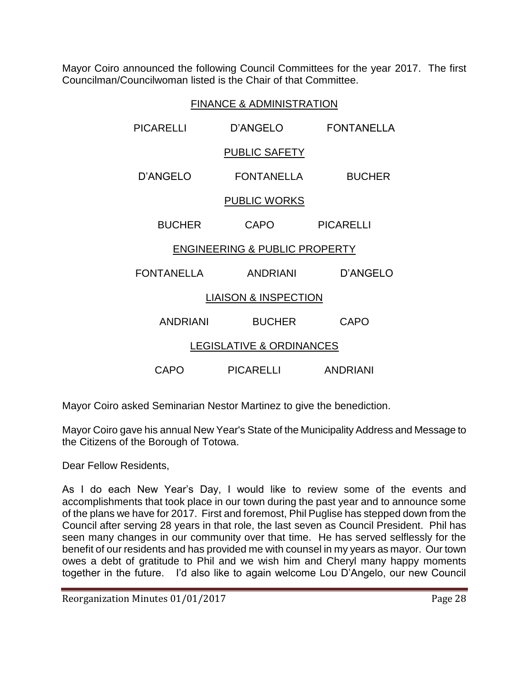Mayor Coiro announced the following Council Committees for the year 2017. The first Councilman/Councilwoman listed is the Chair of that Committee.

| <b>FINANCE &amp; ADMINISTRATION</b>      |                      |                   |  |
|------------------------------------------|----------------------|-------------------|--|
| PICARELLI                                | <b>D'ANGELO</b>      | <b>FONTANELLA</b> |  |
|                                          | <b>PUBLIC SAFETY</b> |                   |  |
| D'ANGELO                                 | <b>FONTANELLA</b>    | <b>BUCHER</b>     |  |
| <b>PUBLIC WORKS</b>                      |                      |                   |  |
| <b>BUCHER</b>                            | <b>CAPO</b>          | <b>PICARELLI</b>  |  |
| <b>ENGINEERING &amp; PUBLIC PROPERTY</b> |                      |                   |  |
| <b>FONTANELLA</b>                        | <b>ANDRIANI</b>      | D'ANGELO          |  |
| <b>LIAISON &amp; INSPECTION</b>          |                      |                   |  |
| <b>ANDRIANI</b>                          | <b>BUCHER</b>        | CAPO              |  |
| <b>LEGISLATIVE &amp; ORDINANCES</b>      |                      |                   |  |
| CAPO                                     | <b>PICARELLI</b>     | <b>ANDRIANI</b>   |  |

Mayor Coiro asked Seminarian Nestor Martinez to give the benediction.

Mayor Coiro gave his annual New Year's State of the Municipality Address and Message to the Citizens of the Borough of Totowa.

Dear Fellow Residents,

As I do each New Year's Day, I would like to review some of the events and accomplishments that took place in our town during the past year and to announce some of the plans we have for 2017. First and foremost, Phil Puglise has stepped down from the Council after serving 28 years in that role, the last seven as Council President. Phil has seen many changes in our community over that time. He has served selflessly for the benefit of our residents and has provided me with counsel in my years as mayor. Our town owes a debt of gratitude to Phil and we wish him and Cheryl many happy moments together in the future. I'd also like to again welcome Lou D'Angelo, our new Council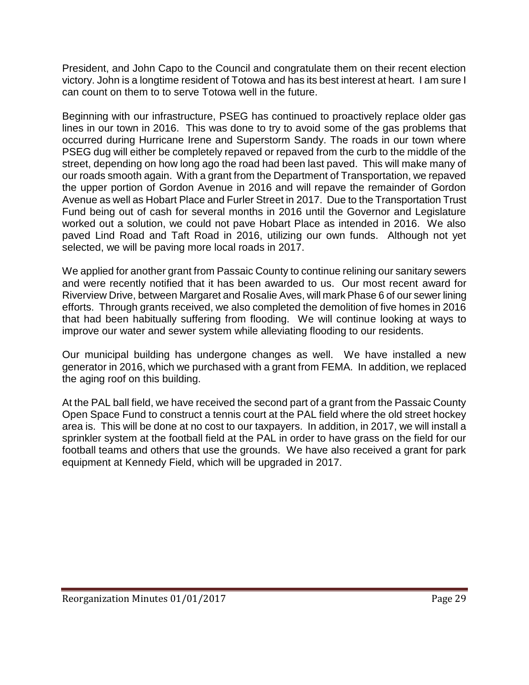President, and John Capo to the Council and congratulate them on their recent election victory. John is a longtime resident of Totowa and has its best interest at heart. I am sure I can count on them to to serve Totowa well in the future.

Beginning with our infrastructure, PSEG has continued to proactively replace older gas lines in our town in 2016. This was done to try to avoid some of the gas problems that occurred during Hurricane Irene and Superstorm Sandy. The roads in our town where PSEG dug will either be completely repaved or repaved from the curb to the middle of the street, depending on how long ago the road had been last paved. This will make many of our roads smooth again. With a grant from the Department of Transportation, we repaved the upper portion of Gordon Avenue in 2016 and will repave the remainder of Gordon Avenue as well as Hobart Place and Furler Street in 2017. Due to the Transportation Trust Fund being out of cash for several months in 2016 until the Governor and Legislature worked out a solution, we could not pave Hobart Place as intended in 2016. We also paved Lind Road and Taft Road in 2016, utilizing our own funds. Although not yet selected, we will be paving more local roads in 2017.

We applied for another grant from Passaic County to continue relining our sanitary sewers and were recently notified that it has been awarded to us. Our most recent award for Riverview Drive, between Margaret and Rosalie Aves, will mark Phase 6 of our sewer lining efforts. Through grants received, we also completed the demolition of five homes in 2016 that had been habitually suffering from flooding. We will continue looking at ways to improve our water and sewer system while alleviating flooding to our residents.

Our municipal building has undergone changes as well. We have installed a new generator in 2016, which we purchased with a grant from FEMA. In addition, we replaced the aging roof on this building.

At the PAL ball field, we have received the second part of a grant from the Passaic County Open Space Fund to construct a tennis court at the PAL field where the old street hockey area is. This will be done at no cost to our taxpayers. In addition, in 2017, we will install a sprinkler system at the football field at the PAL in order to have grass on the field for our football teams and others that use the grounds. We have also received a grant for park equipment at Kennedy Field, which will be upgraded in 2017.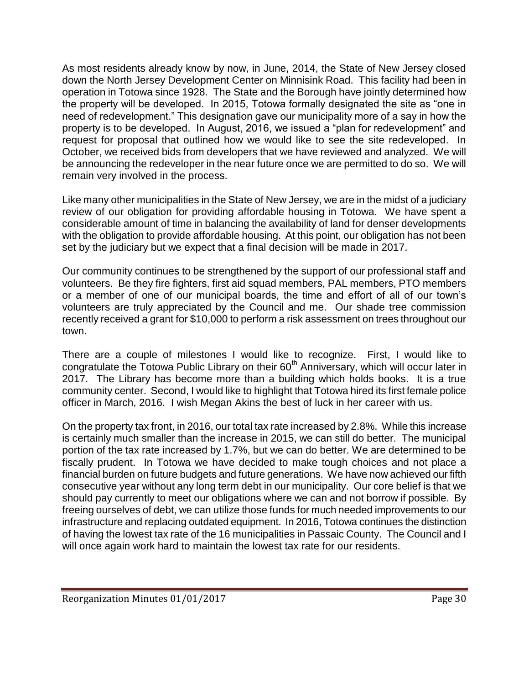As most residents already know by now, in June, 2014, the State of New Jersey closed down the North Jersey Development Center on Minnisink Road. This facility had been in operation in Totowa since 1928. The State and the Borough have jointly determined how the property will be developed. In 2015, Totowa formally designated the site as "one in need of redevelopment." This designation gave our municipality more of a say in how the property is to be developed. In August, 2016, we issued a "plan for redevelopment" and request for proposal that outlined how we would like to see the site redeveloped. In October, we received bids from developers that we have reviewed and analyzed. We will be announcing the redeveloper in the near future once we are permitted to do so. We will remain very involved in the process.

Like many other municipalities in the State of New Jersey, we are in the midst of a judiciary review of our obligation for providing affordable housing in Totowa. We have spent a considerable amount of time in balancing the availability of land for denser developments with the obligation to provide affordable housing. At this point, our obligation has not been set by the judiciary but we expect that a final decision will be made in 2017.

Our community continues to be strengthened by the support of our professional staff and volunteers. Be they fire fighters, first aid squad members, PAL members, PTO members or a member of one of our municipal boards, the time and effort of all of our town's volunteers are truly appreciated by the Council and me. Our shade tree commission recently received a grant for \$10,000 to perform a risk assessment on trees throughout our town.

There are a couple of milestones I would like to recognize. First, I would like to congratulate the Totowa Public Library on their  $60<sup>th</sup>$  Anniversary, which will occur later in 2017. The Library has become more than a building which holds books. It is a true community center. Second, I would like to highlight that Totowa hired its first female police officer in March, 2016. I wish Megan Akins the best of luck in her career with us.

On the property tax front, in 2016, our total tax rate increased by 2.8%. While this increase is certainly much smaller than the increase in 2015, we can still do better. The municipal portion of the tax rate increased by 1.7%, but we can do better. We are determined to be fiscally prudent. In Totowa we have decided to make tough choices and not place a financial burden on future budgets and future generations. We have now achieved our fifth consecutive year without any long term debt in our municipality. Our core belief is that we should pay currently to meet our obligations where we can and not borrow if possible. By freeing ourselves of debt, we can utilize those funds for much needed improvements to our infrastructure and replacing outdated equipment. In 2016, Totowa continues the distinction of having the lowest tax rate of the 16 municipalities in Passaic County. The Council and I will once again work hard to maintain the lowest tax rate for our residents.